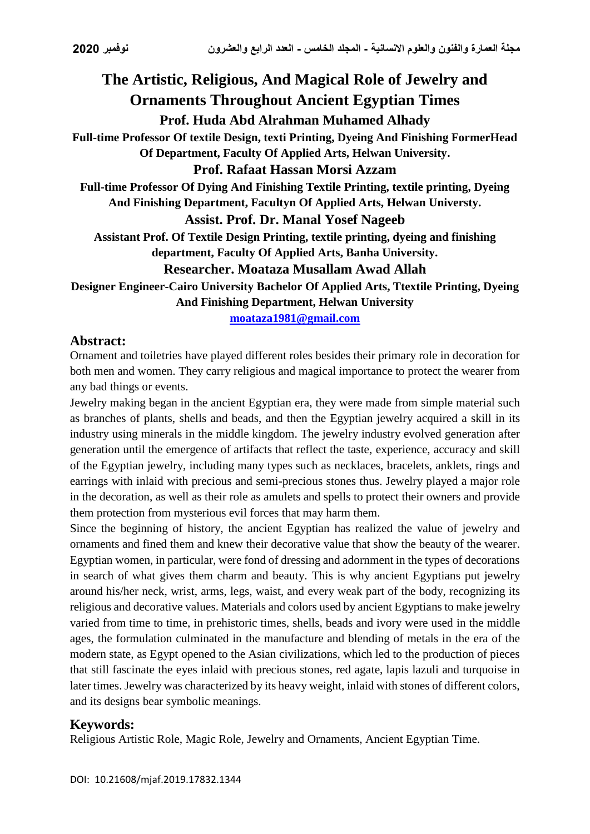# **The Artistic, Religious, And Magical Role of Jewelry and Ornaments Throughout Ancient Egyptian Times Prof. Huda Abd Alrahman Muhamed Alhady Full-time Professor Of textile Design, texti Printing, Dyeing And Finishing FormerHead Of Department, Faculty Of Applied Arts, Helwan University. Prof. Rafaat Hassan Morsi Azzam Full-time Professor Of Dying And Finishing Textile Printing, textile printing, Dyeing And Finishing Department, Facultyn Of Applied Arts, Helwan Universty. Assist. Prof. Dr. Manal Yosef Nageeb Assistant Prof. Of Textile Design Printing, textile printing, dyeing and finishing department, Faculty Of Applied Arts, Banha University.**

### **Researcher. Moataza Musallam Awad Allah**

**Designer Engineer-Cairo University Bachelor Of Applied Arts, Ttextile Printing, Dyeing And Finishing Department, Helwan University**

**[moataza1981@gmail.com](mailto:moataza1981@gmail.com)**

#### **Abstract:**

Ornament and toiletries have played different roles besides their primary role in decoration for both men and women. They carry religious and magical importance to protect the wearer from any bad things or events.

Jewelry making began in the ancient Egyptian era, they were made from simple material such as branches of plants, shells and beads, and then the Egyptian jewelry acquired a skill in its industry using minerals in the middle kingdom. The jewelry industry evolved generation after generation until the emergence of artifacts that reflect the taste, experience, accuracy and skill of the Egyptian jewelry, including many types such as necklaces, bracelets, anklets, rings and earrings with inlaid with precious and semi-precious stones thus. Jewelry played a major role in the decoration, as well as their role as amulets and spells to protect their owners and provide them protection from mysterious evil forces that may harm them.

Since the beginning of history, the ancient Egyptian has realized the value of jewelry and ornaments and fined them and knew their decorative value that show the beauty of the wearer. Egyptian women, in particular, were fond of dressing and adornment in the types of decorations in search of what gives them charm and beauty. This is why ancient Egyptians put jewelry around his/her neck, wrist, arms, legs, waist, and every weak part of the body, recognizing its religious and decorative values. Materials and colors used by ancient Egyptians to make jewelry varied from time to time, in prehistoric times, shells, beads and ivory were used in the middle ages, the formulation culminated in the manufacture and blending of metals in the era of the modern state, as Egypt opened to the Asian civilizations, which led to the production of pieces that still fascinate the eyes inlaid with precious stones, red agate, lapis lazuli and turquoise in later times. Jewelry was characterized by its heavy weight, inlaid with stones of different colors, and its designs bear symbolic meanings.

### **Keywords:**

Religious Artistic Role, Magic Role, Jewelry and Ornaments, Ancient Egyptian Time.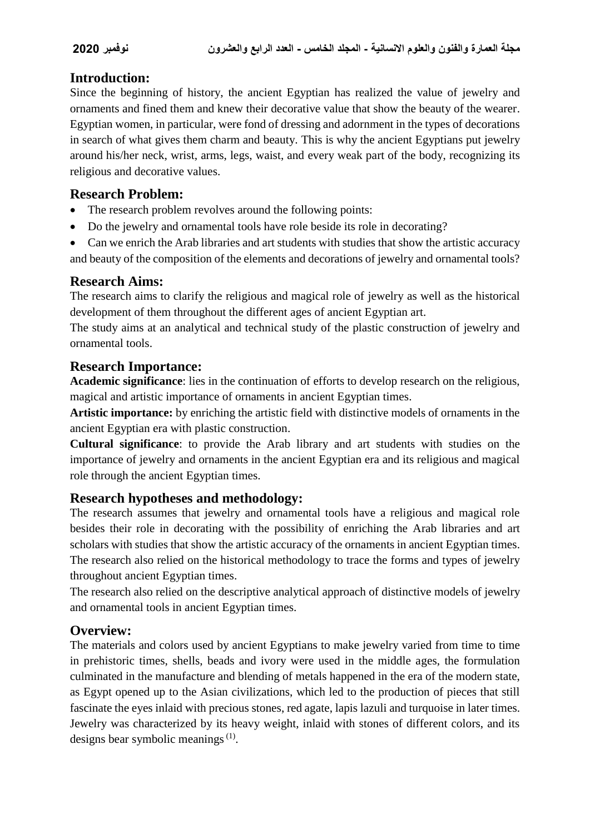## **Introduction:**

Since the beginning of history, the ancient Egyptian has realized the value of jewelry and ornaments and fined them and knew their decorative value that show the beauty of the wearer. Egyptian women, in particular, were fond of dressing and adornment in the types of decorations in search of what gives them charm and beauty. This is why the ancient Egyptians put jewelry around his/her neck, wrist, arms, legs, waist, and every weak part of the body, recognizing its religious and decorative values.

## **Research Problem:**

- The research problem revolves around the following points:
- Do the jewelry and ornamental tools have role beside its role in decorating?
- Can we enrich the Arab libraries and art students with studies that show the artistic accuracy and beauty of the composition of the elements and decorations of jewelry and ornamental tools?

## **Research Aims:**

The research aims to clarify the religious and magical role of jewelry as well as the historical development of them throughout the different ages of ancient Egyptian art.

The study aims at an analytical and technical study of the plastic construction of jewelry and ornamental tools.

### **Research Importance:**

**Academic significance**: lies in the continuation of efforts to develop research on the religious, magical and artistic importance of ornaments in ancient Egyptian times.

**Artistic importance:** by enriching the artistic field with distinctive models of ornaments in the ancient Egyptian era with plastic construction.

**Cultural significance**: to provide the Arab library and art students with studies on the importance of jewelry and ornaments in the ancient Egyptian era and its religious and magical role through the ancient Egyptian times.

### **Research hypotheses and methodology:**

The research assumes that jewelry and ornamental tools have a religious and magical role besides their role in decorating with the possibility of enriching the Arab libraries and art scholars with studies that show the artistic accuracy of the ornaments in ancient Egyptian times. The research also relied on the historical methodology to trace the forms and types of jewelry throughout ancient Egyptian times.

The research also relied on the descriptive analytical approach of distinctive models of jewelry and ornamental tools in ancient Egyptian times.

### **Overview:**

The materials and colors used by ancient Egyptians to make jewelry varied from time to time in prehistoric times, shells, beads and ivory were used in the middle ages, the formulation culminated in the manufacture and blending of metals happened in the era of the modern state, as Egypt opened up to the Asian civilizations, which led to the production of pieces that still fascinate the eyes inlaid with precious stones, red agate, lapis lazuli and turquoise in later times. Jewelry was characterized by its heavy weight, inlaid with stones of different colors, and its designs bear symbolic meanings $(1)$ .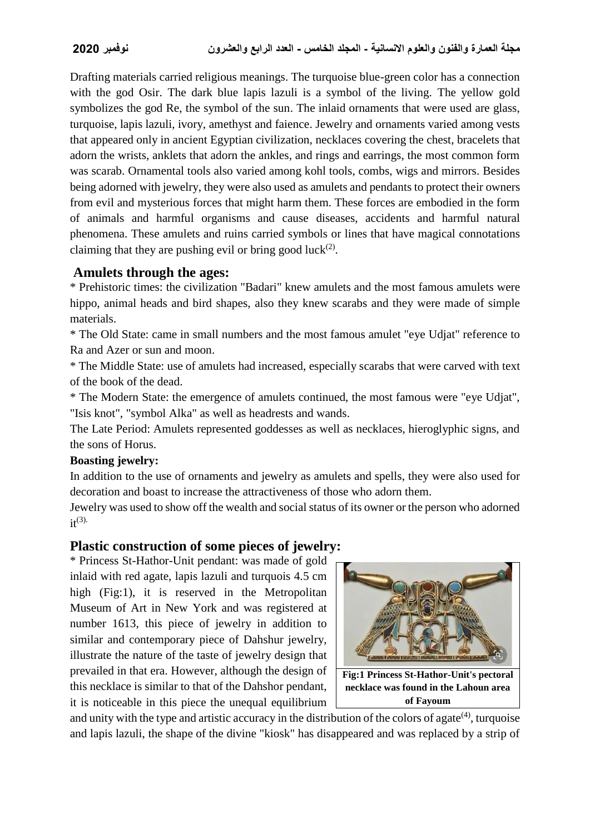Drafting materials carried religious meanings. The turquoise blue-green color has a connection with the god Osir. The dark blue lapis lazuli is a symbol of the living. The yellow gold symbolizes the god Re, the symbol of the sun. The inlaid ornaments that were used are glass, turquoise, lapis lazuli, ivory, amethyst and faience. Jewelry and ornaments varied among vests that appeared only in ancient Egyptian civilization, necklaces covering the chest, bracelets that adorn the wrists, anklets that adorn the ankles, and rings and earrings, the most common form was scarab. Ornamental tools also varied among kohl tools, combs, wigs and mirrors. Besides being adorned with jewelry, they were also used as amulets and pendants to protect their owners from evil and mysterious forces that might harm them. These forces are embodied in the form of animals and harmful organisms and cause diseases, accidents and harmful natural phenomena. These amulets and ruins carried symbols or lines that have magical connotations claiming that they are pushing evil or bring good luck $(2)$ .

#### **Amulets through the ages:**

\* Prehistoric times: the civilization "Badari" knew amulets and the most famous amulets were hippo, animal heads and bird shapes, also they knew scarabs and they were made of simple materials.

\* The Old State: came in small numbers and the most famous amulet "eye Udjat" reference to Ra and Azer or sun and moon.

\* The Middle State: use of amulets had increased, especially scarabs that were carved with text of the book of the dead.

\* The Modern State: the emergence of amulets continued, the most famous were "eye Udjat", "Isis knot", "symbol Alka" as well as headrests and wands.

The Late Period: Amulets represented goddesses as well as necklaces, hieroglyphic signs, and the sons of Horus.

#### **Boasting jewelry:**

In addition to the use of ornaments and jewelry as amulets and spells, they were also used for decoration and boast to increase the attractiveness of those who adorn them.

Jewelry was used to show off the wealth and social status of its owner or the person who adorned  $it^{(3)}$ .

### **Plastic construction of some pieces of jewelry:**

\* Princess St-Hathor-Unit pendant: was made of gold inlaid with red agate, lapis lazuli and turquois 4.5 cm high (Fig:1), it is reserved in the Metropolitan Museum of Art in New York and was registered at number 1613, this piece of jewelry in addition to similar and contemporary piece of Dahshur jewelry, illustrate the nature of the taste of jewelry design that prevailed in that era. However, although the design of this necklace is similar to that of the Dahshor pendant, it is noticeable in this piece the unequal equilibrium



and unity with the type and artistic accuracy in the distribution of the colors of agate $(4)$ , turquoise and lapis lazuli, the shape of the divine "kiosk" has disappeared and was replaced by a strip of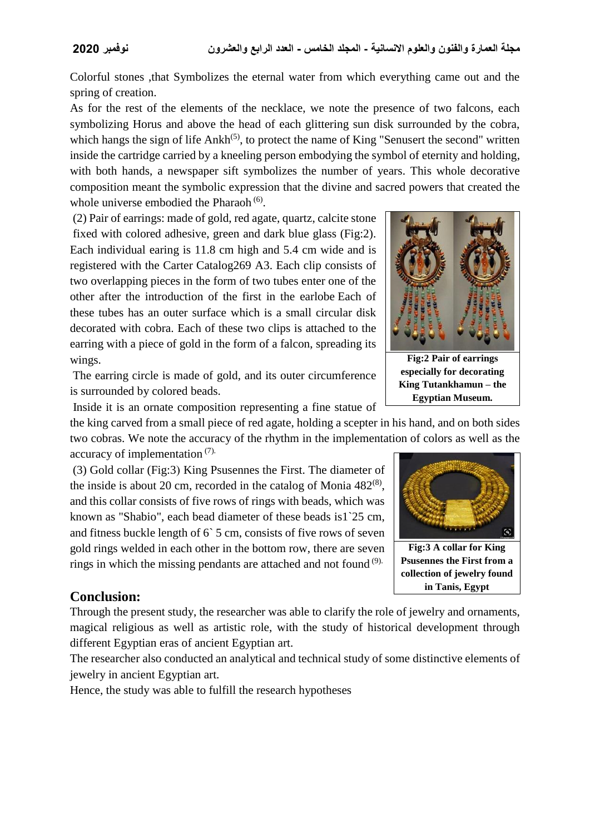Colorful stones ,that Symbolizes the eternal water from which everything came out and the spring of creation.

As for the rest of the elements of the necklace, we note the presence of two falcons, each symbolizing Horus and above the head of each glittering sun disk surrounded by the cobra, which hangs the sign of life  $Ankh^{(5)}$ , to protect the name of King "Senusert the second" written inside the cartridge carried by a kneeling person embodying the symbol of eternity and holding, with both hands, a newspaper sift symbolizes the number of years. This whole decorative composition meant the symbolic expression that the divine and sacred powers that created the whole universe embodied the Pharaoh<sup>(6)</sup>.

(2) Pair of earrings: made of gold, red agate, quartz, calcite stone fixed with colored adhesive, green and dark blue glass (Fig:2). Each individual earing is 11.8 cm high and 5.4 cm wide and is registered with the Carter Catalog269 A3. Each clip consists of two overlapping pieces in the form of two tubes enter one of the other after the introduction of the first in the earlobe Each of these tubes has an outer surface which is a small circular disk decorated with cobra. Each of these two clips is attached to the earring with a piece of gold in the form of a falcon, spreading its wings.

The earring circle is made of gold, and its outer circumference is surrounded by colored beads.

Inside it is an ornate composition representing a fine statue of

the king carved from a small piece of red agate, holding a scepter in his hand, and on both sides two cobras. We note the accuracy of the rhythm in the implementation of colors as well as the accuracy of implementation (7).

 $(3)$  Gold collar (Fig: 3) King Psusennes the First. The diameter of the inside is about 20 cm, recorded in the catalog of Monia  $482^{(8)}$ , and this collar consists of five rows of rings with beads, which was known as "Shabio", each bead diameter of these beads is1`25 cm, and fitness buckle length of 6` 5 cm, consists of five rows of seven gold rings welded in each other in the bottom row, there are seven rings in which the missing pendants are attached and not found  $(9)$ .

#### **Conclusion:**

Through the present study, the researcher was able to clarify the role of jewelry and ornaments, magical religious as well as artistic role, with the study of historical development through different Egyptian eras of ancient Egyptian art.

The researcher also conducted an analytical and technical study of some distinctive elements of jewelry in ancient Egyptian art.

Hence, the study was able to fulfill the research hypotheses



**Fig:2 Pair of earrings especially for decorating King Tutankhamun – the Egyptian Museum.**



**Fig:3 A collar for King Psusennes the First from a collection of jewelry found in Tanis, Egypt**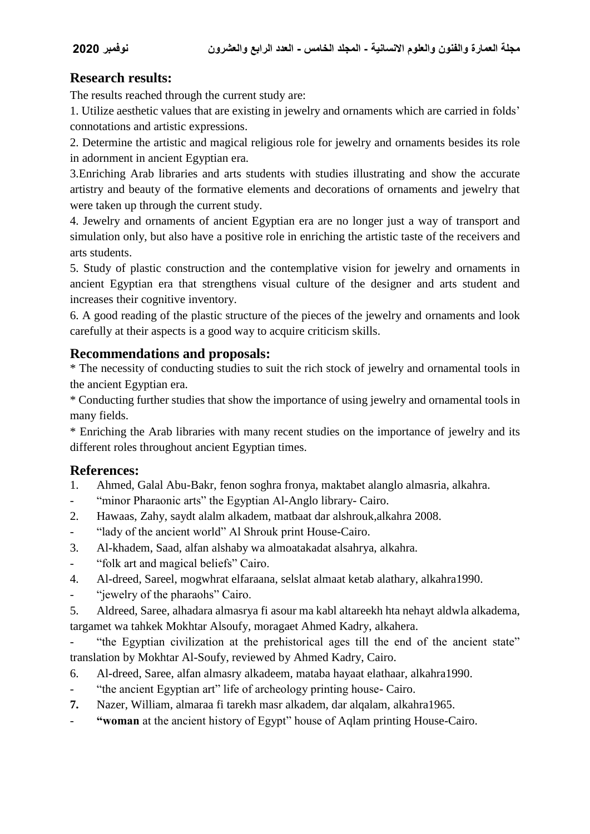## **Research results:**

The results reached through the current study are:

1. Utilize aesthetic values that are existing in jewelry and ornaments which are carried in folds' connotations and artistic expressions.

2. Determine the artistic and magical religious role for jewelry and ornaments besides its role in adornment in ancient Egyptian era.

3.Enriching Arab libraries and arts students with studies illustrating and show the accurate artistry and beauty of the formative elements and decorations of ornaments and jewelry that were taken up through the current study.

4. Jewelry and ornaments of ancient Egyptian era are no longer just a way of transport and simulation only, but also have a positive role in enriching the artistic taste of the receivers and arts students.

5. Study of plastic construction and the contemplative vision for jewelry and ornaments in ancient Egyptian era that strengthens visual culture of the designer and arts student and increases their cognitive inventory.

6. A good reading of the plastic structure of the pieces of the jewelry and ornaments and look carefully at their aspects is a good way to acquire criticism skills.

### **Recommendations and proposals:**

\* The necessity of conducting studies to suit the rich stock of jewelry and ornamental tools in the ancient Egyptian era.

\* Conducting further studies that show the importance of using jewelry and ornamental tools in many fields.

\* Enriching the Arab libraries with many recent studies on the importance of jewelry and its different roles throughout ancient Egyptian times.

### **References:**

- 1. Ahmed, Galal Abu-Bakr, fenon soghra fronya, maktabet alanglo almasria, alkahra.
- "minor Pharaonic arts" the Egyptian Al-Anglo library- Cairo.
- 2. Hawaas, Zahy, saydt alalm alkadem, matbaat dar alshrouk,alkahra 2008.
- "lady of the ancient world" Al Shrouk print House-Cairo.
- 3. Al-khadem, Saad, alfan alshaby wa almoatakadat alsahrya, alkahra.
- "folk art and magical beliefs" Cairo.
- 4. Al-dreed, Sareel, mogwhrat elfaraana, selslat almaat ketab alathary, alkahra1990.
- "jewelry of the pharaohs" Cairo.

5. Aldreed, Saree, alhadara almasrya fi asour ma kabl altareekh hta nehayt aldwla alkadema, targamet wa tahkek Mokhtar Alsoufy, moragaet Ahmed Kadry, alkahera.

- "the Egyptian civilization at the prehistorical ages till the end of the ancient state" translation by Mokhtar Al-Soufy, reviewed by Ahmed Kadry, Cairo.

- 6. Al-dreed, Saree, alfan almasry alkadeem, mataba hayaat elathaar, alkahra1990.
- "the ancient Egyptian art" life of archeology printing house- Cairo.
- **7.** Nazer, William, almaraa fi tarekh masr alkadem, dar alqalam, alkahra1965.
- **"woman** at the ancient history of Egypt" house of Aqlam printing House-Cairo.